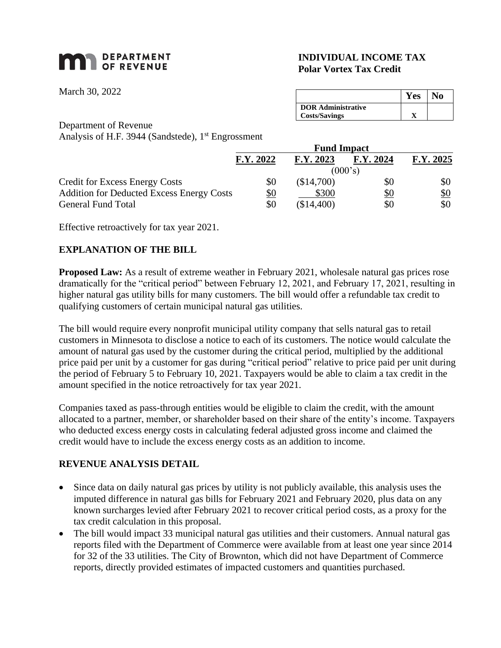# **MAN** DEPARTMENT

March 30, 2022

## **INDIVIDUAL INCOME TAX Polar Vortex Tax Credit**

|                           | Y es | ١o |
|---------------------------|------|----|
| <b>DOR Administrative</b> |      |    |
| <b>Costs/Savings</b>      |      |    |

Department of Revenue

Analysis of H.F. 3944 (Sandstede), 1<sup>st</sup> Engrossment

|                                                  | <b>Fund Impact</b> |            |            |                   |  |
|--------------------------------------------------|--------------------|------------|------------|-------------------|--|
|                                                  | F.Y. 2022          | F.Y. 2023  | F.Y. 2024  | F.Y. 2025         |  |
|                                                  | (000's)            |            |            |                   |  |
| <b>Credit for Excess Energy Costs</b>            | \$0                | (\$14,700) | \$0        | \$0               |  |
| <b>Addition for Deducted Excess Energy Costs</b> | <u>\$0</u>         | \$300      | <u>\$0</u> | $\underline{\$0}$ |  |
| <b>General Fund Total</b>                        | \$0                | (\$14,400) | \$0        | \$0               |  |

Effective retroactively for tax year 2021.

## **EXPLANATION OF THE BILL**

**Proposed Law:** As a result of extreme weather in February 2021, wholesale natural gas prices rose dramatically for the "critical period" between February 12, 2021, and February 17, 2021, resulting in higher natural gas utility bills for many customers. The bill would offer a refundable tax credit to qualifying customers of certain municipal natural gas utilities.

The bill would require every nonprofit municipal utility company that sells natural gas to retail customers in Minnesota to disclose a notice to each of its customers. The notice would calculate the amount of natural gas used by the customer during the critical period, multiplied by the additional price paid per unit by a customer for gas during "critical period" relative to price paid per unit during the period of February 5 to February 10, 2021. Taxpayers would be able to claim a tax credit in the amount specified in the notice retroactively for tax year 2021.

Companies taxed as pass-through entities would be eligible to claim the credit, with the amount allocated to a partner, member, or shareholder based on their share of the entity's income. Taxpayers who deducted excess energy costs in calculating federal adjusted gross income and claimed the credit would have to include the excess energy costs as an addition to income.

### **REVENUE ANALYSIS DETAIL**

- Since data on daily natural gas prices by utility is not publicly available, this analysis uses the imputed difference in natural gas bills for February 2021 and February 2020, plus data on any known surcharges levied after February 2021 to recover critical period costs, as a proxy for the tax credit calculation in this proposal.
- The bill would impact 33 municipal natural gas utilities and their customers. Annual natural gas reports filed with the Department of Commerce were available from at least one year since 2014 for 32 of the 33 utilities. The City of Brownton, which did not have Department of Commerce reports, directly provided estimates of impacted customers and quantities purchased.